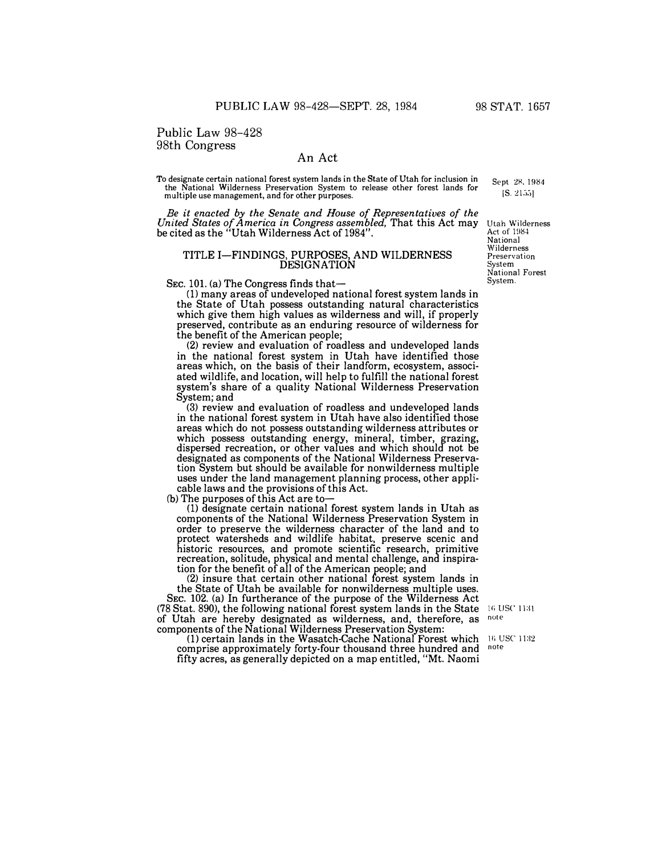Public Law 98-428 98th Congress

# An Act

To designate certain national forest system lands in the State of Utah for inclusion in the National Wilderness Preservation System to release other forest lands for multiple use management, and for other purposes.

*Be it enacted by the Senate and House of Representatives of the United States of America in Congress assembled,* That this Act may be cited as the "Utah Wilderness Act of 1984".

## TITLE I-FINDINGS, PURPOSES, AND WILDERNESS **DESIGNATION**

SEC. 101. (a) The Congress finds that-

(1) many areas of undeveloped national forest system lands in the State of Utah possess outstanding natural characteristics which give them high values as wilderness and will, if properly preserved, contribute as an enduring resource of wilderness for the benefit of the American people;

(2) review and evaluation of roadless and undeveloped lands in the national forest system in Utah have identified those areas which, on the basis of their landform, ecosystem, associated wildlife, and location, will help to fulfill the national forest system's share of a quality National Wilderness Preservation System; and

(3) review and evaluation of roadless and undeveloped lands in the national forest system in Utah have also identified those areas which do not possess outstanding wilderness attributes or which possess outstanding energy, mineral, timber, grazing, dispersed recreation, or other values and which should not be designated as components of the National Wilderness Preservation System but should be available for nonwilderness multiple uses under the land management planning process, other applicable laws and the provisions of this Act.

(b) The purposes of this Act are to-

(1) designate certain national forest system lands in Utah as components of the National Wilderness Preservation System in order to preserve the wilderness character of the land and to protect watersheds and wildlife habitat, preserve scenic and historic resources, and promote scientific research, primitive recreation, solitude, physical and mental challenge, and inspiration for the benefit of all of the American people; and

(2) insure that certain other national forest system lands in the State of Utah be available for nonwilderness multiple uses. SEC. 102. (a) In furtherance of the purpose of the Wilderness Act (78 Stat. 890), the following national forest system lands in the State  $\frac{16 \text{ USC}}{1131}$ <br>of Utah are hereby designated as wilderness, and, therefore, as  $\frac{160 \text{ USC}}{1131}$ of Utah are hereby designated as wilderness, and, therefore, as note components of the National Wilderness Preservation System:

(1) certain lands in the Wasatch-Cache National Forest which comprise approximately forty-four thousand three hundred and fifty acres, as generally depicted on a map entitled, "Mt. Naomi

16 USC 1132 note

Utah Wilderness Act of 1984 National **Wilderness** Preservation System National Forest System.

Sept 28, 1984  $[S. 2155]$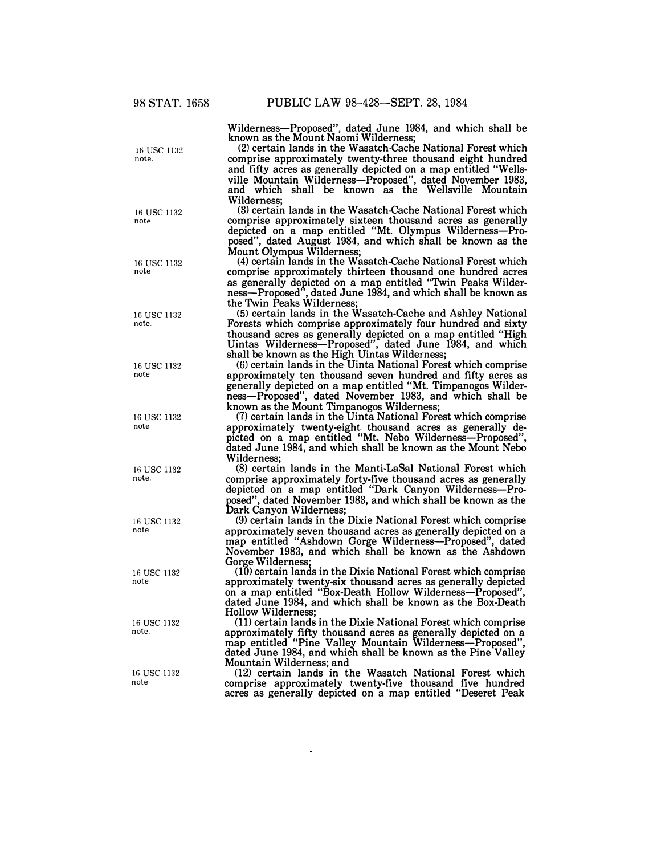Wilderness-Proposed", dated June 1984, and which shall be known as the Mount Naomi Wilderness;

(2) certain lands in the Wasatch-Cache National Forest which comprise approximately twenty-three thousand eight hundred and fifty acres as generally depicted on a map entitled "Wellsville Mountain Wilderness-Proposed", dated November 1983, and which shall be known as the Wellsville Mountain Wilderness;

(3) certain lands in the Wasatch-Cache National Forest which comprise approximately sixteen thousand acres as generally depicted on a map entitled "Mt. Olympus Wilderness-Proposed", dated August 1984, and which shall be known as the Mount Olympus Wilderness; (4) certain lands in the Wasatch-Cache National Forest which

comprise approximately thirteen thousand one hundred acres as generally depicted on a map entitled "Twin Peaks Wilderness-Proposed", dated June 1984, and which shall be known as the Twin Peaks Wilderness;

(5) certain lands in the Wasatch-Cache and Ashley National Forests which comprise approximately four hundred and sixty thousand acres as generally depicted on a map entitled "High thousand acres as generally depicted on a map entitled "High Uintas Wilderness-Proposed", dated June 1984, and which shall be known as the High Uintas Wilderness;

(6) certain lands in the Uinta National Forest which comprise approximately ten thousand seven hundred and fifty acres as generally depicted on a map entitled "Mt. Timpanogos Wilderness-Proposed", dated November 1983, and which shall be known as the Mount Timpanogos Wilderness;

(7) certain lands in the Uinta National Forest which comprise approximately twenty-eight thousand acres as generally depicted on a map entitled "Mt. Nebo Wilderness-Proposed", dated June 1984, and which shall be known as the Mount Nebo Wilderness;

(8) certain lands in the Manti-LaSal National Forest which comprise approximately forty-five thousand acres as generally depicted on a map entitled "Dark Canyon Wilderness-Proposed", dated November 1983, and which shall be known as the Dark Canyon Wilderness;

(9) certain lands in the Dixie National Forest which comprise approximately seven thousand acres as generally depicted on a map entitled "Ashdown Gorge Wilderness-Proposed", dated November 1983, and which shall be known as the Ashdown Gorge Wilderness;

(10) certain lands in the Dixie National Forest which comprise approximately twenty-six thousand acres as generally depicted on a map entitled "Box-Death Hollow Wilderness—Proposed",<br>dated June 1984, and which shall be known as the Box-Death Hollow Wilderness;

(11) certain lands in the Dixie National Forest which comprise approximately fifty thousand acres as generally depicted on a dated June 1984, and which shall be known as the Pine Valley Mountain Wilderness; and

(12) certain lands in the Wasatch National Forest which comprise approximately twenty-five thousand five hundred acres as generally depicted on a map entitled "Deseret Peak

16 USC 1132 note.

16 USC 1132 note

16 use 1132 note

16 usc 1132 note.

16 USC 1132 note

16 use 1132 note

16 use 1132 note.

16 use 1132 note

16 usc 1132 note

16 use 1132 note.

16 usc 1132 note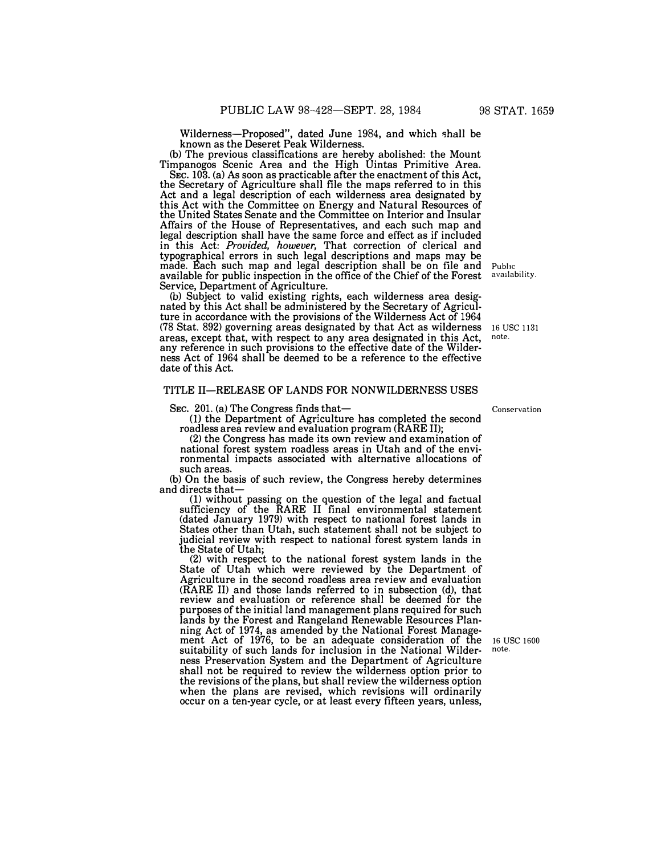Wilderness-Proposed", dated June 1984, and which shall be known as the Deseret Peak Wilderness.

(b) The previous classifications are hereby abolished: the Mount Timpanogos Scenic Area and the High Uintas Primitive Area.

SEc. 103. (a) As soon as practicable after the enactment of this Act, the Secretary of Agriculture shall file the maps referred to in this Act and a legal description of each wilderness area designated by this Act with the Committee on Energy and Natural Resources of the United States Senate and the Committee on Interior and Insular Affairs of the House of Representatives, and each such map and legal description shall have the same force and effect as if included in this Act: *Provided, however,* That correction of clerical and typographical errors in such legal descriptions and maps may be made. Each such map and legal description shall be on file and available for public inspection in the office of the Chief of the Forest Service, Department of Agriculture.

(b) Subject to valid existing rights, each wilderness area designated by this Act shall be administered by the Secretary of Agriculture in accordance with the provisions of the Wilderness Act of 1964 (78 Stat. 892) governing areas designated by that Act as wilderness areas, except that, with respect to any area designated in this Act, any reference in such provisions to the effective date of the Wilderness Act of 1964 shall be deemed to be a reference to the effective date of this Act.

## TITLE II-RELEASE OF LANDS FOR NONWILDERNESS USES

SEC. 201. (a) The Congress finds that-

**(1)** the Department of Agriculture has completed the second roadless area review and evaluation program (RARE **II);**

(2) the Congress has made its own review and examination of national forest system roadless areas in Utah and of the environmental impacts associated with alternative allocations of such areas.

(b) On the basis of such review, the Congress hereby determines and directs that-

(1) without passing on the question of the legal and factual sufficiency of the RARE II final environmental statement (dated January 1979) with respect to national forest lands in States other than Utah, such statement shall not be subject to judicial review with respect to national forest system lands in the State of Utah;

(2) with respect to the national forest system lands in the State of Utah which were reviewed by the Department of Agriculture in the second roadless area review and evaluation (RARE II) and those lands referred to in subsection (d), that review and evaluation or reference shall be deemed for the purposes of the initial land management plans required for such lands by the Forest and Rangeland Renewable Resources Planning Act of 1974, as amended by the National Forest Management Act of 1976, to be an adequate consideration of the suitability of such lands for inclusion in the National Wilderness Preservation System and the Department of Agriculture shall not be required to review the wilderness option prior to the revisions of the plans, but shall review the wilderness option when the plans are revised, which revisions will ordinarily occur on a ten-year cycle, or at least every fifteen years, unless,

16 usc 1600 note.

Conservation

Public<br>availability.

16 usc 1131 note.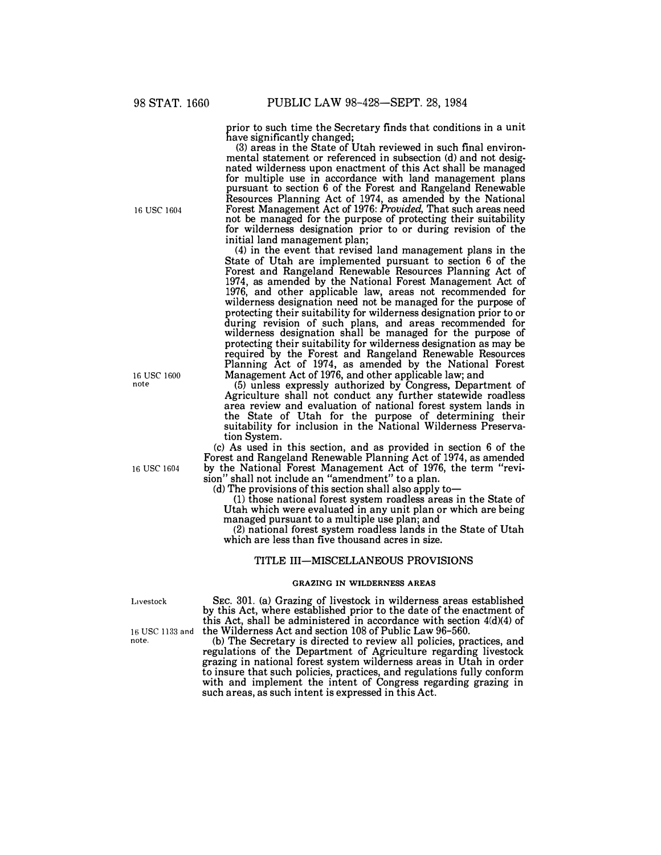prior to such time the Secretary finds that conditions in a unit have significantly changed;

(3) areas in the State of Utah reviewed in such final environmental statement or referenced in subsection (d) and not designated wilderness upon enactment of this Act shall be managed for multiple use in accordance with land management plans pursuant to section 6 of the Forest and Rangeland Renewable Resources Planning Act of 1974, as amended by the National Forest Management Act of 1976: *Provided,* That such areas need not be managed for the purpose of protecting their suitability for wilderness designation prior to or during revision of the initial land management plan;

(4) in the event that revised land management plans in the State of Utah are implemented pursuant to section 6 of the Forest and Rangeland Renewable Resources Planning Act of 1974, as amended by the National Forest Management Act of 1976, and other applicable law, areas not recommended for wilderness designation need not be managed for the purpose of protecting their suitability for wilderness designation prior to or during revision of such plans, and areas recommended for wilderness designation shall be managed for the purpose of protecting their suitability for wilderness designation as may be required by the Forest and Rangeland Renewable Resources Planning Act of 1974, as amended by the National Forest Management Act of 1976, and other applicable law; and

(5) unless expressly authorized by Congress, Department of Agriculture shall not conduct any further statewide roadless area review and evaluation of national forest system lands in the State of Utah for the purpose of determining their suitability for inclusion in the National Wilderness Preservation System.

(c) As used in this section, and as provided in section 6 of the Forest and Rangeland Renewable Planning Act of 1974, as amended by the National Forest Management Act of 1976, the term "revision" shall not include an "amendment" to a plan.

(d) The provisions of this section shall also apply to-

(1) those national forest system roadless areas in the State of Utah which were evaluated in any unit plan or which are being managed pursuant to a multiple use plan; and

(2) national forest system roadless lands in the State of Utah which are less than five thousand acres in size.

### TITLE III-MISCELLANEOUS PROVISIONS

#### GRAZING IN WILDERNESS AREAS

Livestock

note.

16 USC 1133 and the Wilderness Act and section 108 of Public Law 96-560. SEC. 301. (a) Grazing of livestock in wilderness areas established by this Act, where established prior to the date of the enactment of this Act, shall be administered in accordance with section 4(d)(4) of

(b) The Secretary is directed to review all policies, practices, and regulations of the Department of Agriculture regarding livestock grazing in national forest system wilderness areas in Utah in order to insure that such policies, practices, and regulations fully conform with and implement the intent of Congress regarding grazing in such areas, as such intent is expressed in this Act.

16 USC 1604

16 USC 1600 note

16 USC 1604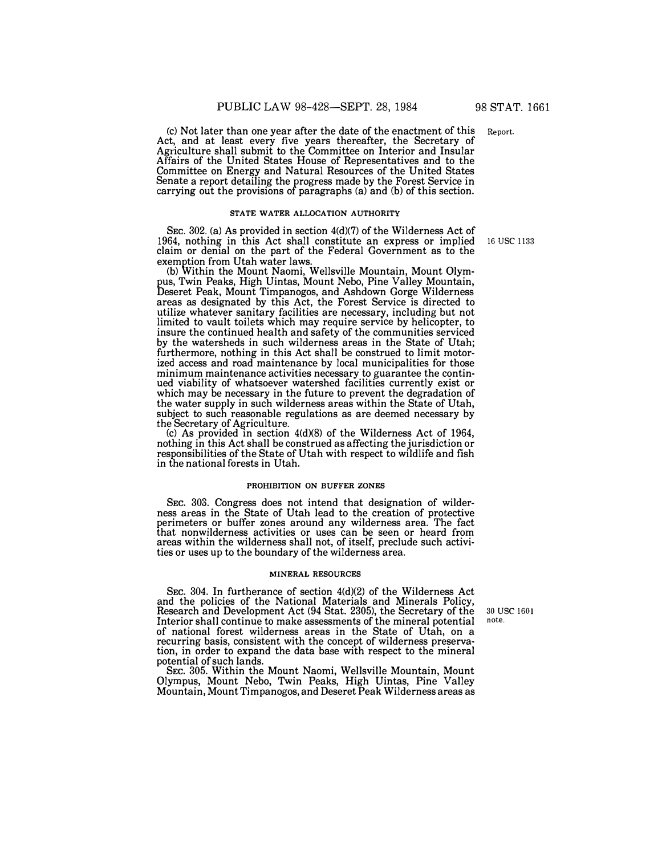(c) Not later than one year after the date of the enactment of this Act, and at least every five years thereafter, the Secretary of Agriculture shall submit to the Committee on Interior and Insular Affairs of the United States House of Representatives and to the Committee on Energy and Natural Resources of the United States Senate a report detailing the progress made by the Forest Service in carrying out the provisions of paragraphs (a) and (b) of this section.

## **STATE WATER ALLOCATION AUTHORITY**

SEC. 302. (a) As provided in section  $4(d)(7)$  of the Wilderness Act of 1964, nothing in this Act shall constitute an express or implied claim or denial on the part of the Federal Government as to the exemption from Utah water laws.

(b) Within the Mount Naomi, Wellsville Mountain, Mount Olympus, Twin Peaks, High Uintas, Mount Nebo, Pine Valley Mountain, Deseret Peak, Mount Timpanogos, and Ashdown Gorge Wilderness areas as designated by this Act, the Forest Service is directed to utilize whatever sanitary facilities are necessary, including but not limited to vault toilets which may require service by helicopter, to insure the continued health and safety of the communities serviced by the watersheds in such wilderness areas in the State of Utah; furthermore, nothing in this Act shall be construed to limit motorized access and road maintenance by local municipalities for those minimum maintenance activities necessary to guarantee the continued viability of whatsoever watershed facilities currently exist or which may be necessary in the future to prevent the degradation of the water supply in such wilderness areas within the State of Utah, subject to such reasonable regulations as are deemed necessary by the Secretary of Agriculture.

(c) As provided in section 4(d)(8) of the Wilderness Act of 1964, nothing in this Act shall be construed as affecting the jurisdiction or responsibilities of the State of Utah with respect to wildlife and fish in the national forests in Utah.

### **PROHIBITION ON BUFFER ZONES**

SEC. 303. Congress does not intend that designation of wilderness areas in the State of Utah lead to the creation of protective perimeters or buffer zones around any wilderness area. The fact that nonwilderness activities or uses can be seen or heard from areas within the wilderness shall not, of itself, preclude such activities or uses up to the boundary of the wilderness area.

### **MINERAL RESOURCES**

SEC. 304. In furtherance of section 4(d)(2) of the Wilderness Act and the policies of the National Materials and Minerals Policy, Research and Development Act (94 Stat. 2305), the Secretary of the Interior shall continue to make assessments of the mineral potential of national forest wilderness areas in the State of Utah, on a recurring basis, consistent with the concept of wilderness preservation, in order to expand the data base with respect to the mineral potential of such lands.

SEC. 305. Within the Mount Naomi, Wellsville Mountain, Mount Olympus, Mount Nebo, Twin Peaks, High Uintas, Pine Valley Mountain, Mount Timpanogos, and Deseret Peak Wilderness areas as

30 USC 1601 note.

16 USC 1133

Report.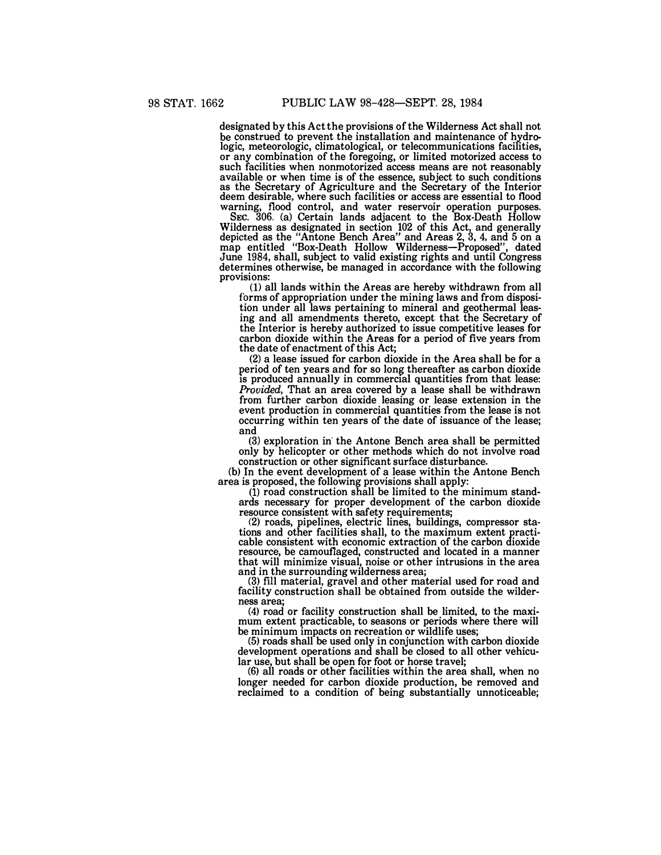**designated by this Act the provisions of the Wilderness Act shall not be construed to prevent the installation and maintenance of hydro logic, meteorologic, climatological, or telecommunications facilities, or any combination of the foregoing, or limited motorized access to such facilities when nonmotorized access means are not reasonably available or when time is of the essence, subject to such conditions as the Secretary of Agriculture and the Secretary of the Interior deem desirable, where such facilities or access are essential to flood warning, flood control, and water reservoir operation purposes. SEC. 306. (a) Certain lands adjacent to the Box-Death Hollow** 

**Wilderness as designated in section 102 of this Act, and generally depicted as the "Antone Bench Area" and Areas 2, 3, 4, and 5 on a**  depicted as the "Antone Bench Area" and Areas 2, 3, 4, and 5 on a map entitled "Box-Death Hollow Wilderness—Proposed", dated **June 1984, shall, subject to valid existing rights and until Congress determines otherwise, be managed in accordance with the following provisions:** 

**(1) all lands within the Areas are hereby withdrawn from all forms of appropriation under the mining laws and from disposition under all laws pertaining to mineral and geothermal leasing and all amendments thereto, except that the Secretary of the Interior is hereby authorized to issue competitive leases for carbon dioxide within the Areas for a period of five years from the date of enactment of this Act;** 

**(2) a lease issued for carbon dioxide in the Area shall be for a period of ten years and for so long thereafter as carbon dioxide is produced annually in commercial quantities from that lease:**  *Provided,* **That an area covered by a lease shall be withdrawn from further carbon dioxide leasing or lease extension in the event production in commercial quantities from the lease is not occurring within ten years of the date of issuance of the lease; and** 

**(3) exploration in· the Antone Bench area shall be permitted only by helicopter or other methods which do not involve road construction or other significant surface disturbance.** 

**(b) In the event development of a lease within the Antone Bench area is proposed, the following provisions shall apply:** 

**(1) road construction shall be limited to the minimum standards necessary for proper development of the carbon dioxide** 

**resource consistent with safety requirements; (2) roads, pipelines, electric lines, buildings, compressor stations and other facilities shall, to the maximum extent practi cable consistent with economic extraction of the carbon dioxide resource, be camouflaged, constructed and located in a manner that will minimize visual, noise or other intrusions in the area and in the surrounding wilderness area;** 

**(3) fill material, gravel and other material used for road and facility construction shall be obtained from outside the wilderness area;** 

**(4) road or facility construction shall be limited, to the maximum extent practicable, to seasons or periods where there will be minimum impacts on recreation or wildlife uses;** 

**(5) roads shall be used only in conjunction with carbon dioxide development operations and shall be closed to all other vehicu-**

**lar use, but shall be open for foot or horse travel; (6) all roads or other facilities within the area shall, when no longer needed for carbon dioxide production, be removed and reclaimed to a condition of being substantially unnoticeable;**